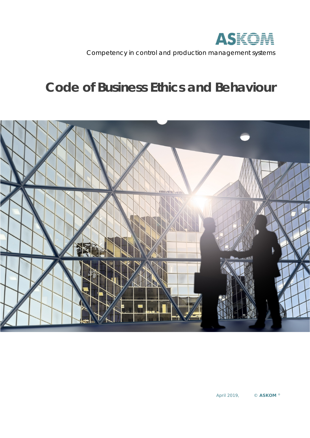

Competency in control and production management systems

# **Code of Business Ethics and Behaviour**

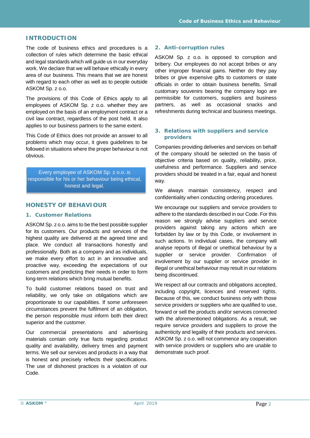# **INTRODUCTION**

The code of business ethics and procedures is a collection of rules which determine the basic ethical and legal standards which will guide us in our everyday work. We declare that we will behave ethically in every area of our business. This means that we are honest with regard to each other as well as to people outside ASKOM Sp. z o.o.

The provisions of this Code of Ethics apply to all employees of ASKOM Sp. z o.o. whether they are employed on the basis of an employment contract or a civil law contract, regardless of the post held. It also applies to our business partners to the same extent.

This Code of Ethics does not provide an answer to all problems which may occur, it gives guidelines to be followed in situations where the proper behaviour is not obvious.

Every employee of ASKOM Sp. z o.o. is responsible for his or her behaviour being ethical, honest and legal.

#### **HONESTY OF BEHAVIOUR**

#### **1. Customer Relations**

ASKOM Sp. z o.o. aims to be the best possible supplier for its customers. Our products and services of the highest quality are delivered at the agreed time and place. We conduct all transactions honestly and professionally. Both as a company and as individuals, we make every effort to act in an innovative and proactive way, exceeding the expectations of our customers and predicting their needs in order to form long-term relations which bring mutual benefits.

To build customer relations based on trust and reliability, we only take on obligations which are proportionate to our capabilities. If some unforeseen circumstances prevent the fulfilment of an obligation, the person responsible must inform both their direct superior and the customer.

Our commercial presentations and advertising materials contain only true facts regarding product quality and availability, delivery times and payment terms. We sell our services and products in a way that is honest and precisely reflects their specifications. The use of dishonest practices is a violation of our Code.

#### **2. Anti-corruption rules**

ASKOM Sp. z o.o. is opposed to corruption and bribery. Our employees do not accept bribes or any other improper financial gains. Neither do they pay bribes or give expensive gifts to customers or state officials in order to obtain business benefits. Small customary souvenirs bearing the company logo are permissible for customers, suppliers and business partners, as well as occasional snacks and refreshments during technical and business meetings.

#### **3. Relations with suppliers and service providers**

Companies providing deliveries and services on behalf of the company should be selected on the basis of objective criteria based on quality, reliability, price, usefulness and performance. Suppliers and service providers should be treated in a fair, equal and honest way.

We always maintain consistency, respect and confidentiality when conducting ordering procedures.

We encourage our suppliers and service providers to adhere to the standards described in our Code. For this reason we strongly advise suppliers and service providers against taking any actions which are forbidden by law or by this Code, or involvement in such actions. In individual cases, the company will analyse reports of illegal or unethical behaviour by a supplier or service provider. Confirmation of involvement by our supplier or service provider in illegal or unethical behaviour may result in our relations being discontinued.

We respect all our contracts and obligations accepted, including copyright, licences and reserved rights. Because of this, we conduct business only with those service providers or suppliers who are qualified to use. forward or sell the products and/or services connected with the aforementioned obligations. As a result, we require service providers and suppliers to prove the authenticity and legality of their products and services. ASKOM Sp. z o.o. will not commence any cooperation with service providers or suppliers who are unable to demonstrate such proof.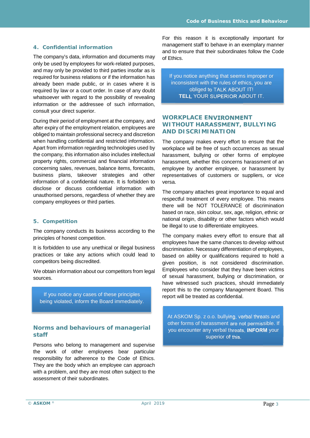#### **4. Confidential information**

The company's data, information and documents may only be used by employees for work-related purposes, and may only be provided to third parties insofar as is required for business relations or if the information has already been made public, or in cases where it is required by law or a court order. In case of any doubt whatsoever with regard to the possibility of revealing information or the addressee of such information, consult your direct superior.

During their period of employment at the company, and after expiry of the employment relation, employees are obliged to maintain professional secrecy and discretion when handling confidential and restricted information. Apart from information regarding technologies used by the company, this information also includes intellectual property rights, commercial and financial information concerning sales, revenues, balance items, forecasts, business plans, takeover strategies and other information of a confidential nature. It is forbidden to disclose or discuss confidential information with unauthorised persons, regardless of whether they are company employees or third parties.

#### **5. Competition**

The company conducts its business according to the principles of honest competition.

It is forbidden to use any unethical or illegal business practices or take any actions which could lead to competitors being discredited.

We obtain information about our competitors from legal sources.

If you notice any cases of these principles being violated, inform the Board immediately.

#### **Norms and behaviours of managerial staff**

Persons who belong to management and supervise the work of other employees bear particular responsibility for adherence to the Code of Ethics. They are the body which an employee can approach with a problem, and they are most often subject to the assessment of their subordinates.

For this reason it is exceptionally important for management staff to behave in an exemplary manner and to ensure that their subordinates follow the Code of Ethics.

If you notice anything that seems improper or inconsistent with the rules of ethics, you are obliged to TALK ABOUT IT! **TELL** YOUR SUPERIOR ABOUT IT.

# **WORKPLACE ENVIRONMENT**  WITHOUT HARASSMENT, BULLYING **AND DISCRIMINATION**

The company makes every effort to ensure that the workplace will be free of such occurrences as sexual harassment, bullying or other forms of employee harassment, whether this concerns harassment of an employee by another employee, or harassment by representatives of customers or suppliers, or vice versa.

The company attaches great importance to equal and respectful treatment of every employee. This means there will be NOT TOLERANCE of discrimination based on race, skin colour, sex, age, religion, ethnic or national origin, disability or other factors which would be illegal to use to differentiate employees.

The company makes every effort to ensure that all employees have the same chances to develop without discrimination. Necessary differentiation of employees, based on ability or qualifications required to hold a given position, is not considered discrimination. Employees who consider that they have been victims of sexual harassment, bullying or discrimination, or have witnessed such practices, should immediately report this to the company Management Board. This report will be treated as confidential.

At ASKOM Sp. z o.o. bullying, verbal threats and other forms of harassment are not permissible. If you encounter any verbal threats, **INFORM** your superior of this.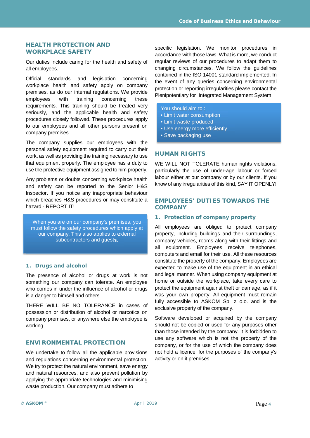## **HEALTH PROTECTION AND WORKPLACE SAFETY**

Our duties include caring for the health and safety of all employees.

Official standards and legislation concerning workplace health and safety apply on company premises, as do our internal regulations. We provide employees with training concerning these requirements. This training should be treated very seriously, and the applicable health and safety procedures closely followed. These procedures apply to our employees and all other persons present on company premises.

The company supplies our employees with the personal safety equipment required to carry out their work, as well as providing the training necessary to use that equipment properly. The employee has a duty to use the protective equipment assigned to him properly.

Any problems or doubts concerning workplace health and safety can be reported to the Senior H&S Inspector. If you notice any inappropriate behaviour which breaches H&S procedures or may constitute a hazard - REPORT IT!

When you are on our company's premises, you must follow the safety procedures which apply at our company. This also applies to external subcontractors and guests.

# **1. Drugs and alcohol**

The presence of alcohol or drugs at work is not something our company can tolerate. An employee who comes in under the influence of alcohol or drugs is a danger to himself and others.

THERE WILL BE NO TOLERANCE in cases of possession or distribution of alcohol or narcotics on company premises, or anywhere else the employee is working.

# **ENVIRONMENTAL PROTECTION**

We undertake to follow all the applicable provisions and regulations concerning environmental protection. We try to protect the natural environment, save energy and natural resources, and also prevent pollution by applying the appropriate technologies and minimising waste production. Our company must adhere to

specific legislation. We monitor procedures in accordance with those laws. What is more, we conduct regular reviews of our procedures to adapt them to changing circumstances. We follow the guidelines contained in the ISO 14001 standard implemented. In the event of any queries concerning environmental protection or reporting irregularities please contact the Plenipotentiary for Integrated Management System.

You should aim to :

- Limit water consumption
- Limit waste produced
- Use energy more efficiently
- Save packaging use

# **HUMAN RIGHTS**

WE WILL NOT TOLERATE human rights violations, particularly the use of under-age labour or forced labour either at our company or by our clients. If you know of any irregularities of this kind, SAY IT OPENLY!

## **EMPLOYEES' DUTIES TOWARDS THE COMPANY**

#### **1. Protection of company property**

All employees are obliged to protect company property, including buildings and their surroundings, company vehicles, rooms along with their fittings and all equipment. Employees receive telephones, computers and email for their use. All these resources constitute the property of the company. Employees are expected to make use of the equipment in an ethical and legal manner. When using company equipment at home or outside the workplace, take every care to protect the equipment against theft or damage, as if it was your own property. All equipment must remain fully accessible to ASKOM Sp. z o.o. and is the exclusive property of the company.

Software developed or acquired by the company should not be copied or used for any purposes other than those intended by the company. It is forbidden to use any software which is not the property of the company, or for the use of which the company does not hold a licence, for the purposes of the company's activity or on it premises.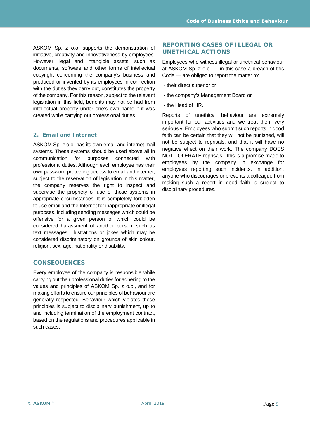ASKOM Sp. z o.o. supports the demonstration of initiative, creativity and innovativeness by employees. However, legal and intangible assets, such as documents, software and other forms of intellectual copyright concerning the company's business and produced or invented by its employees in connection with the duties they carry out, constitutes the property of the company. For this reason, subject to the relevant legislation in this field, benefits may not be had from intellectual property under one's own name if it was created while carrying out professional duties.

# **2. Email and Internet**

ASKOM Sp. z o.o. has its own email and internet mail systems. These systems should be used above all in communication for purposes connected with professional duties. Although each employee has their own password protecting access to email and internet, subject to the reservation of legislation in this matter, the company reserves the right to inspect and supervise the propriety of use of those systems in appropriate circumstances. It is completely forbidden to use email and the Internet for inappropriate or illegal purposes, including sending messages which could be offensive for a given person or which could be considered harassment of another person, such as text messages, illustrations or jokes which may be considered discriminatory on grounds of skin colour, religion, sex, age, nationality or disability.

# **CONSEQUENCES**

Every employee of the company is responsible while carrying out their professional duties for adhering to the values and principles of ASKOM Sp. z o.o., and for making efforts to ensure our principles of behaviour are generally respected. Behaviour which violates these principles is subject to disciplinary punishment, up to and including termination of the employment contract, based on the regulations and procedures applicable in such cases.

## **REPORTING CASES OF ILLEGAL OR UNETHICAL ACTIONS**

Employees who witness illegal or unethical behaviour at ASKOM Sp. z o.o. — in this case a breach of this Code — are obliged to report the matter to:

- their direct superior or
- the company's Management Board or
- the Head of HR.

Reports of unethical behaviour are extremely important for our activities and we treat them very seriously. Employees who submit such reports in good faith can be certain that they will not be punished, will not be subject to reprisals, and that it will have no negative effect on their work. The company DOES NOT TOLERATE reprisals - this is a promise made to employees by the company in exchange for employees reporting such incidents. In addition, anyone who discourages or prevents a colleague from making such a report in good faith is subject to disciplinary procedures.